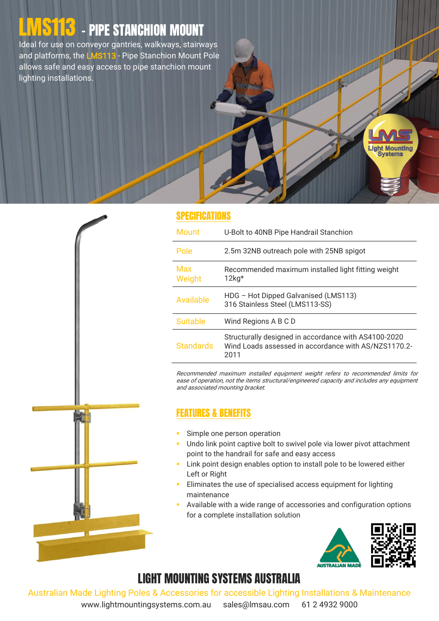# L<mark>MS113</mark> - PIPE STANCHION MOUNT

Ideal for use on conveyor gantries, walkways, stairways and platforms, the LMS113 - Pipe Stanchion Mount Pole allows safe and easy access to pipe stanchion mount lighting installations.



#### SPECIFICATIONS

| <b>Mount</b>     | U-Bolt to 40NB Pipe Handrail Stanchion                                                                               |
|------------------|----------------------------------------------------------------------------------------------------------------------|
| Pole             | 2.5m 32NB outreach pole with 25NB spigot                                                                             |
| Max<br>Weight    | Recommended maximum installed light fitting weight<br>$12kg*$                                                        |
| Available        | HDG - Hot Dipped Galvanised (LMS113)<br>316 Stainless Steel (LMS113-SS)                                              |
| <b>Suitable</b>  | Wind Regions A B C D                                                                                                 |
| <b>Standards</b> | Structurally designed in accordance with AS4100-2020<br>Wind Loads assessed in accordance with AS/NZS1170.2-<br>2011 |

Recommended maximum installed equipment weight refers to recommended limits for ease of operation, not the items structural/engineered capacity and includes any equipment and associated mounting bracket.

#### FEATURES & BENEFITS

- Simple one person operation
- **Undo link point captive bolt to swivel pole via lower pivot attachment** point to the handrail for safe and easy access
- **Link point design enables option to install pole to be lowered either** Left or Right
- Eliminates the use of specialised access equipment for lighting maintenance
- Available with a wide range of accessories and configuration options for a complete installation solution



**ight Mounting Systems** 

### LIGHT MOUNTING SYSTEMS AUSTRALIA

Australian Made Lighting Poles & Accessories for accessible Lighting Installations & Maintenance

www.lightmountingsystems.com.au sales@lmsau.com 61 2 4932 9000